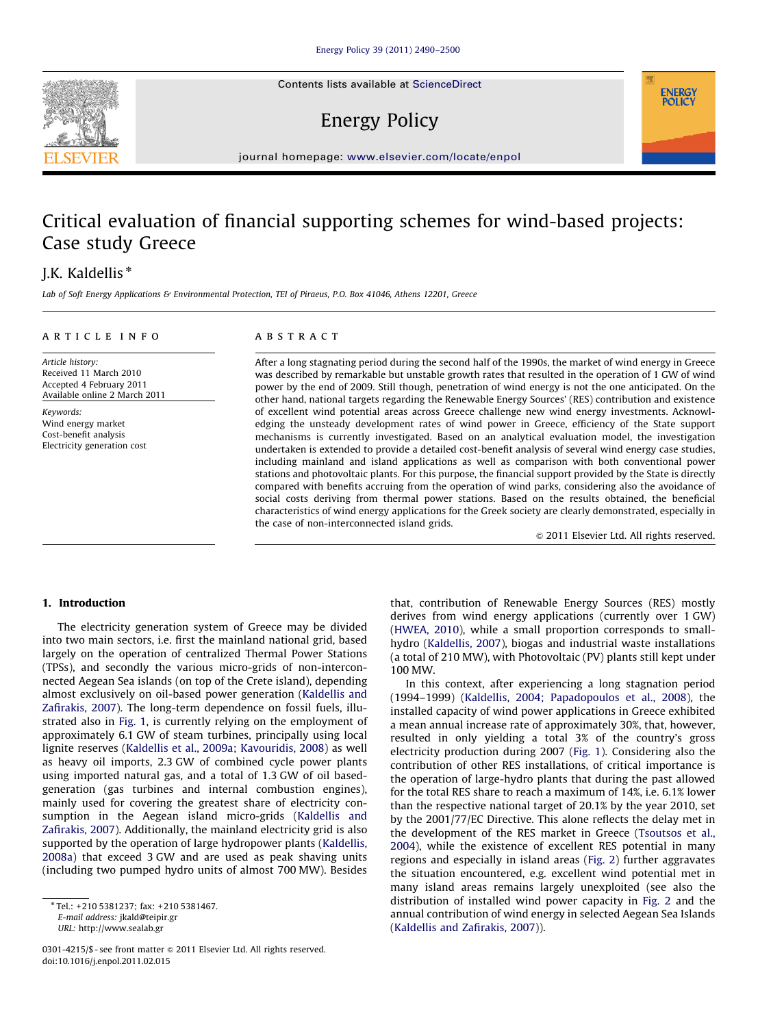Contents lists available at ScienceDirect

## Energy Policy

journal homepage: <www.elsevier.com/locate/enpol>

## Critical evaluation of financial supporting schemes for wind-based projects: Case study Greece

### J.K. Kaldellis<sup>\*</sup>

Lab of Soft Energy Applications & Environmental Protection, TEI of Piraeus, P.O. Box 41046, Athens 12201, Greece

#### article info

### ABSTRACT

Article history: Received 11 March 2010 Accepted 4 February 2011 Available online 2 March 2011

Keywords: Wind energy market Cost-benefit analysis Electricity generation cost After a long stagnating period during the second half of the 1990s, the market of wind energy in Greece was described by remarkable but unstable growth rates that resulted in the operation of 1 GW of wind power by the end of 2009. Still though, penetration of wind energy is not the one anticipated. On the other hand, national targets regarding the Renewable Energy Sources' (RES) contribution and existence of excellent wind potential areas across Greece challenge new wind energy investments. Acknowledging the unsteady development rates of wind power in Greece, efficiency of the State support mechanisms is currently investigated. Based on an analytical evaluation model, the investigation undertaken is extended to provide a detailed cost-benefit analysis of several wind energy case studies, including mainland and island applications as well as comparison with both conventional power stations and photovoltaic plants. For this purpose, the financial support provided by the State is directly compared with benefits accruing from the operation of wind parks, considering also the avoidance of social costs deriving from thermal power stations. Based on the results obtained, the beneficial characteristics of wind energy applications for the Greek society are clearly demonstrated, especially in the case of non-interconnected island grids.

 $© 2011 Elsevier Ltd. All rights reserved.$ 

**ENERGY POLICY** 

#### 1. Introduction

The electricity generation system of Greece may be divided into two main sectors, i.e. first the mainland national grid, based largely on the operation of centralized Thermal Power Stations (TPSs), and secondly the various micro-grids of non-interconnected Aegean Sea islands (on top of the Crete island), depending almost exclusively on oil-based power generation ([Kaldellis and](#page--1-0) [Zafirakis, 2007\)](#page--1-0). The long-term dependence on fossil fuels, illustrated also in [Fig. 1](#page-1-0), is currently relying on the employment of approximately 6.1 GW of steam turbines, principally using local lignite reserves [\(Kaldellis et al., 2009a; Kavouridis, 2008\)](#page--1-0) as well as heavy oil imports, 2.3 GW of combined cycle power plants using imported natural gas, and a total of 1.3 GW of oil basedgeneration (gas turbines and internal combustion engines), mainly used for covering the greatest share of electricity consumption in the Aegean island micro-grids ([Kaldellis and](#page--1-0) [Zafirakis, 2007\)](#page--1-0). Additionally, the mainland electricity grid is also supported by the operation of large hydropower plants [\(Kaldellis,](#page--1-0) [2008a](#page--1-0)) that exceed 3 GW and are used as peak shaving units (including two pumped hydro units of almost 700 MW). Besides

E-mail address: [jkald@teipir.gr](mailto:jkald@teipir.gr)

URL: [http://www.sealab.gr](mailto:http://www.sealab.gr)

0301-4215/\$ - see front matter  $\odot$  2011 Elsevier Ltd. All rights reserved. doi:[10.1016/j.enpol.2011.02.015](dx.doi.org/10.1016/j.enpol.2011.02.015)

that, contribution of Renewable Energy Sources (RES) mostly derives from wind energy applications (currently over 1 GW) ([HWEA, 2010\)](#page--1-0), while a small proportion corresponds to smallhydro [\(Kaldellis, 2007](#page--1-0)), biogas and industrial waste installations (a total of 210 MW), with Photovoltaic (PV) plants still kept under 100 MW.

In this context, after experiencing a long stagnation period (1994–1999) [\(Kaldellis, 2004; Papadopoulos et al., 2008\)](#page--1-0), the installed capacity of wind power applications in Greece exhibited a mean annual increase rate of approximately 30%, that, however, resulted in only yielding a total 3% of the country's gross electricity production during 2007 [\(Fig. 1\)](#page-1-0). Considering also the contribution of other RES installations, of critical importance is the operation of large-hydro plants that during the past allowed for the total RES share to reach a maximum of 14%, i.e. 6.1% lower than the respective national target of 20.1% by the year 2010, set by the 2001/77/EC Directive. This alone reflects the delay met in the development of the RES market in Greece ([Tsoutsos et al.,](#page--1-0) [2004\)](#page--1-0), while the existence of excellent RES potential in many regions and especially in island areas [\(Fig. 2\)](#page-1-0) further aggravates the situation encountered, e.g. excellent wind potential met in many island areas remains largely unexploited (see also the distribution of installed wind power capacity in [Fig. 2](#page-1-0) and the annual contribution of wind energy in selected Aegean Sea Islands ([Kaldellis and Zafirakis, 2007\)](#page--1-0)).



<sup>n</sup> Tel.: +210 5381237; fax: +210 5381467.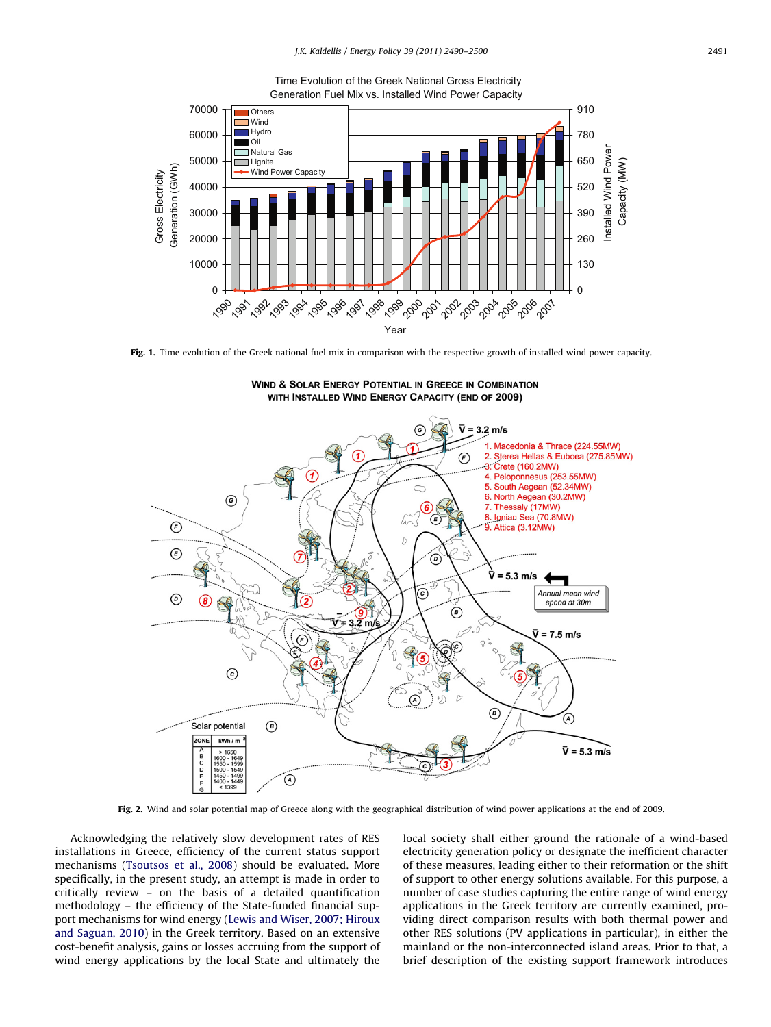

<span id="page-1-0"></span>

Fig. 1. Time evolution of the Greek national fuel mix in comparison with the respective growth of installed wind power capacity.



**WIND & SOLAR ENERGY POTENTIAL IN GREECE IN COMBINATION** WITH INSTALLED WIND ENERGY CAPACITY (END OF 2009)

Fig. 2. Wind and solar potential map of Greece along with the geographical distribution of wind power applications at the end of 2009.

Acknowledging the relatively slow development rates of RES installations in Greece, efficiency of the current status support mechanisms ([Tsoutsos et al., 2008](#page--1-0)) should be evaluated. More specifically, in the present study, an attempt is made in order to critically review – on the basis of a detailed quantification methodology – the efficiency of the State-funded financial support mechanisms for wind energy [\(Lewis and Wiser, 2007; Hiroux](#page--1-0) [and Saguan, 2010](#page--1-0)) in the Greek territory. Based on an extensive cost-benefit analysis, gains or losses accruing from the support of wind energy applications by the local State and ultimately the local society shall either ground the rationale of a wind-based electricity generation policy or designate the inefficient character of these measures, leading either to their reformation or the shift of support to other energy solutions available. For this purpose, a number of case studies capturing the entire range of wind energy applications in the Greek territory are currently examined, providing direct comparison results with both thermal power and other RES solutions (PV applications in particular), in either the mainland or the non-interconnected island areas. Prior to that, a brief description of the existing support framework introduces